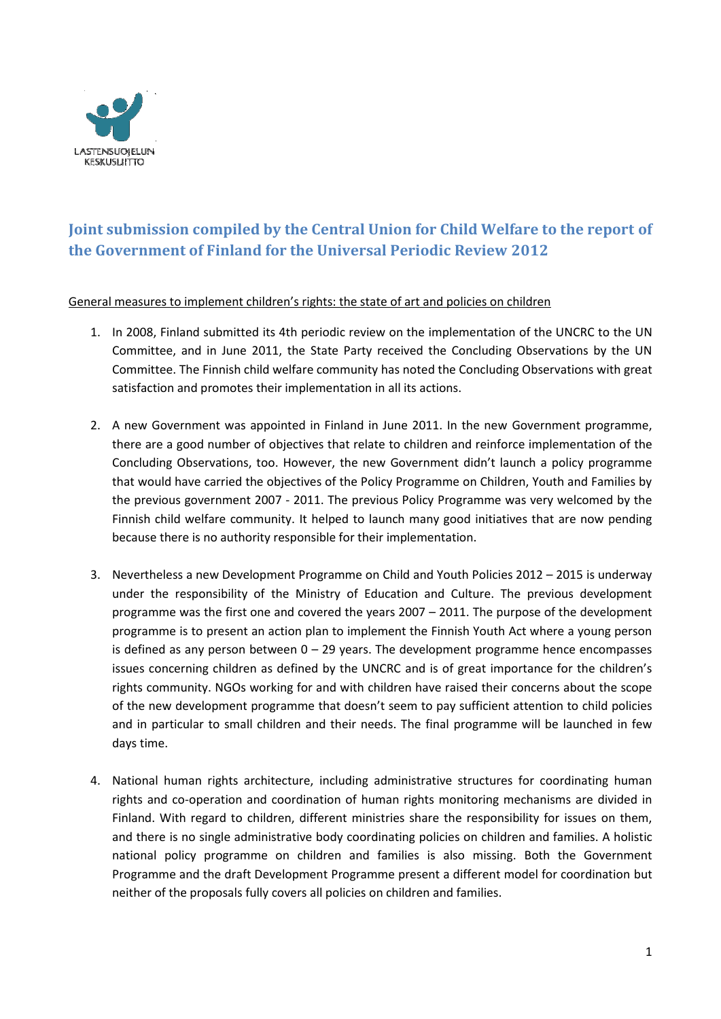

# **Joint submission compiled by the Central Union for Child Welfare to the report of the Government of Finland for the Universal Periodic Review 2012**

General measures to implement children's rights: the state of art and policies on children

- 1. In 2008, Finland submitted its 4th periodic review on the implementation of the UNCRC to the UN Committee, and in June 2011, the State Party received the Concluding Observations by the UN Committee. The Finnish child welfare community has noted the Concluding Observations with great satisfaction and promotes their implementation in all its actions.
- 2. A new Government was appointed in Finland in June 2011. In the new Government programme, there are a good number of objectives that relate to children and reinforce implementation of the Concluding Observations, too. However, the new Government didn't launch a policy programme that would have carried the objectives of the Policy Programme on Children, Youth and Families by the previous government 2007 - 2011. The previous Policy Programme was very welcomed by the Finnish child welfare community. It helped to launch many good initiatives that are now pending because there is no authority responsible for their implementation.
- 3. Nevertheless a new Development Programme on Child and Youth Policies 2012 2015 is underway under the responsibility of the Ministry of Education and Culture. The previous development programme was the first one and covered the years 2007 – 2011. The purpose of the development programme is to present an action plan to implement the Finnish Youth Act where a young person is defined as any person between  $0 - 29$  years. The development programme hence encompasses issues concerning children as defined by the UNCRC and is of great importance for the children's rights community. NGOs working for and with children have raised their concerns about the scope of the new development programme that doesn't seem to pay sufficient attention to child policies and in particular to small children and their needs. The final programme will be launched in few days time.
- 4. National human rights architecture, including administrative structures for coordinating human rights and co-operation and coordination of human rights monitoring mechanisms are divided in Finland. With regard to children, different ministries share the responsibility for issues on them, and there is no single administrative body coordinating policies on children and families. A holistic national policy programme on children and families is also missing. Both the Government Programme and the draft Development Programme present a different model for coordination but neither of the proposals fully covers all policies on children and families.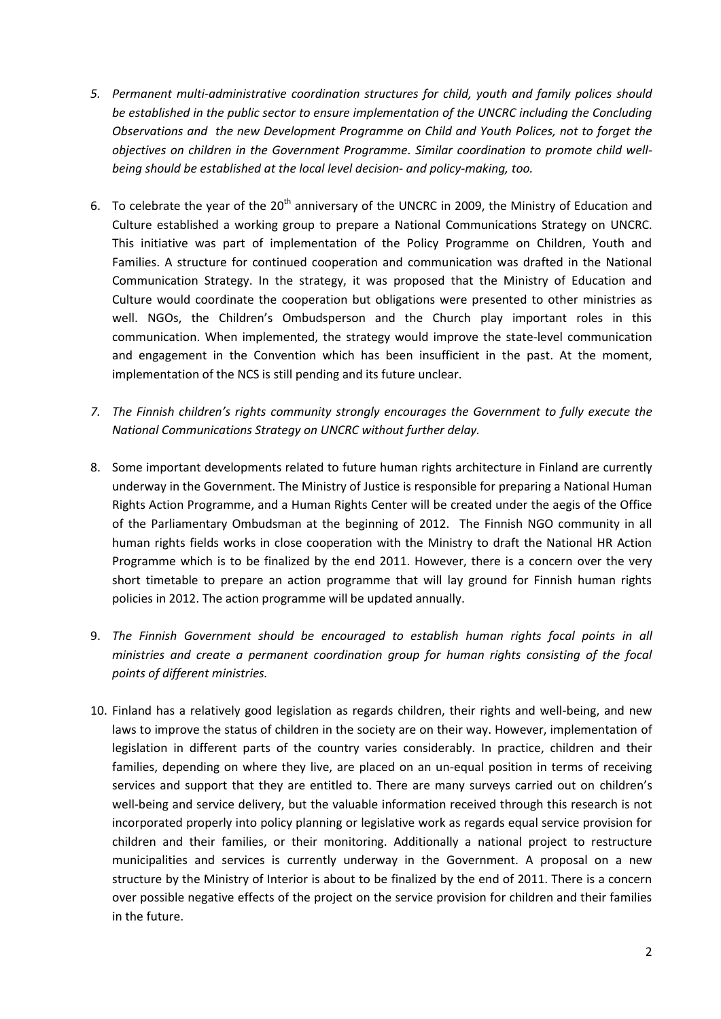- *5. Permanent multi-administrative coordination structures for child, youth and family polices should be established in the public sector to ensure implementation of the UNCRC including the Concluding Observations and the new Development Programme on Child and Youth Polices, not to forget the objectives on children in the Government Programme. Similar coordination to promote child wellbeing should be established at the local level decision- and policy-making, too.*
- 6. To celebrate the year of the  $20<sup>th</sup>$  anniversary of the UNCRC in 2009, the Ministry of Education and Culture established a working group to prepare a National Communications Strategy on UNCRC. This initiative was part of implementation of the Policy Programme on Children, Youth and Families. A structure for continued cooperation and communication was drafted in the National Communication Strategy. In the strategy, it was proposed that the Ministry of Education and Culture would coordinate the cooperation but obligations were presented to other ministries as well. NGOs, the Children's Ombudsperson and the Church play important roles in this communication. When implemented, the strategy would improve the state-level communication and engagement in the Convention which has been insufficient in the past. At the moment, implementation of the NCS is still pending and its future unclear.
- *7. The Finnish children's rights community strongly encourages the Government to fully execute the National Communications Strategy on UNCRC without further delay.*
- 8. Some important developments related to future human rights architecture in Finland are currently underway in the Government. The Ministry of Justice is responsible for preparing a National Human Rights Action Programme, and a Human Rights Center will be created under the aegis of the Office of the Parliamentary Ombudsman at the beginning of 2012. The Finnish NGO community in all human rights fields works in close cooperation with the Ministry to draft the National HR Action Programme which is to be finalized by the end 2011. However, there is a concern over the very short timetable to prepare an action programme that will lay ground for Finnish human rights policies in 2012. The action programme will be updated annually.
- 9. *The Finnish Government should be encouraged to establish human rights focal points in all ministries and create a permanent coordination group for human rights consisting of the focal points of different ministries.*
- 10. Finland has a relatively good legislation as regards children, their rights and well-being, and new laws to improve the status of children in the society are on their way. However, implementation of legislation in different parts of the country varies considerably. In practice, children and their families, depending on where they live, are placed on an un-equal position in terms of receiving services and support that they are entitled to. There are many surveys carried out on children's well-being and service delivery, but the valuable information received through this research is not incorporated properly into policy planning or legislative work as regards equal service provision for children and their families, or their monitoring. Additionally a national project to restructure municipalities and services is currently underway in the Government. A proposal on a new structure by the Ministry of Interior is about to be finalized by the end of 2011. There is a concern over possible negative effects of the project on the service provision for children and their families in the future.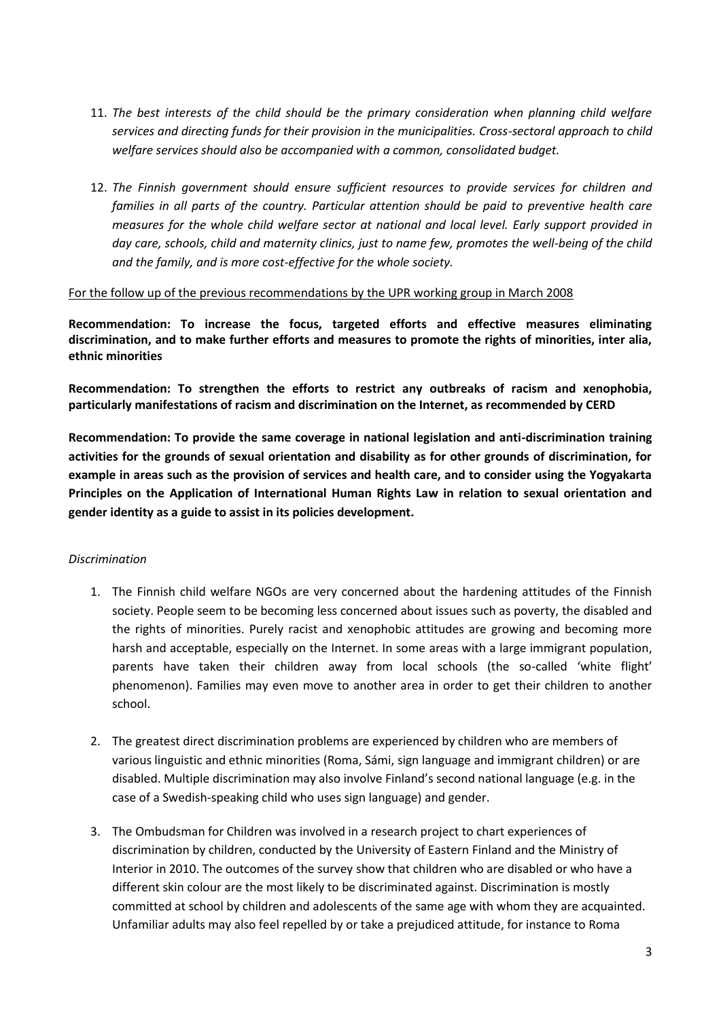- 11. *The best interests of the child should be the primary consideration when planning child welfare services and directing funds for their provision in the municipalities. Cross-sectoral approach to child welfare services should also be accompanied with a common, consolidated budget.*
- 12. *The Finnish government should ensure sufficient resources to provide services for children and families in all parts of the country. Particular attention should be paid to preventive health care measures for the whole child welfare sector at national and local level. Early support provided in day care, schools, child and maternity clinics, just to name few, promotes the well-being of the child and the family, and is more cost-effective for the whole society.*

#### For the follow up of the previous recommendations by the UPR working group in March 2008

**Recommendation: To increase the focus, targeted efforts and effective measures eliminating discrimination, and to make further efforts and measures to promote the rights of minorities, inter alia, ethnic minorities**

**Recommendation: To strengthen the efforts to restrict any outbreaks of racism and xenophobia, particularly manifestations of racism and discrimination on the Internet, as recommended by CERD**

**Recommendation: To provide the same coverage in national legislation and anti-discrimination training activities for the grounds of sexual orientation and disability as for other grounds of discrimination, for example in areas such as the provision of services and health care, and to consider using the Yogyakarta Principles on the Application of International Human Rights Law in relation to sexual orientation and gender identity as a guide to assist in its policies development.**

#### *Discrimination*

- 1. The Finnish child welfare NGOs are very concerned about the hardening attitudes of the Finnish society. People seem to be becoming less concerned about issues such as poverty, the disabled and the rights of minorities. Purely racist and xenophobic attitudes are growing and becoming more harsh and acceptable, especially on the Internet. In some areas with a large immigrant population, parents have taken their children away from local schools (the so-called 'white flight' phenomenon). Families may even move to another area in order to get their children to another school.
- 2. The greatest direct discrimination problems are experienced by children who are members of various linguistic and ethnic minorities (Roma, Sámi, sign language and immigrant children) or are disabled. Multiple discrimination may also involve Finland's second national language (e.g. in the case of a Swedish-speaking child who uses sign language) and gender.
- 3. The Ombudsman for Children was involved in a research project to chart experiences of discrimination by children, conducted by the University of Eastern Finland and the Ministry of Interior in 2010. The outcomes of the survey show that children who are disabled or who have a different skin colour are the most likely to be discriminated against. Discrimination is mostly committed at school by children and adolescents of the same age with whom they are acquainted. Unfamiliar adults may also feel repelled by or take a prejudiced attitude, for instance to Roma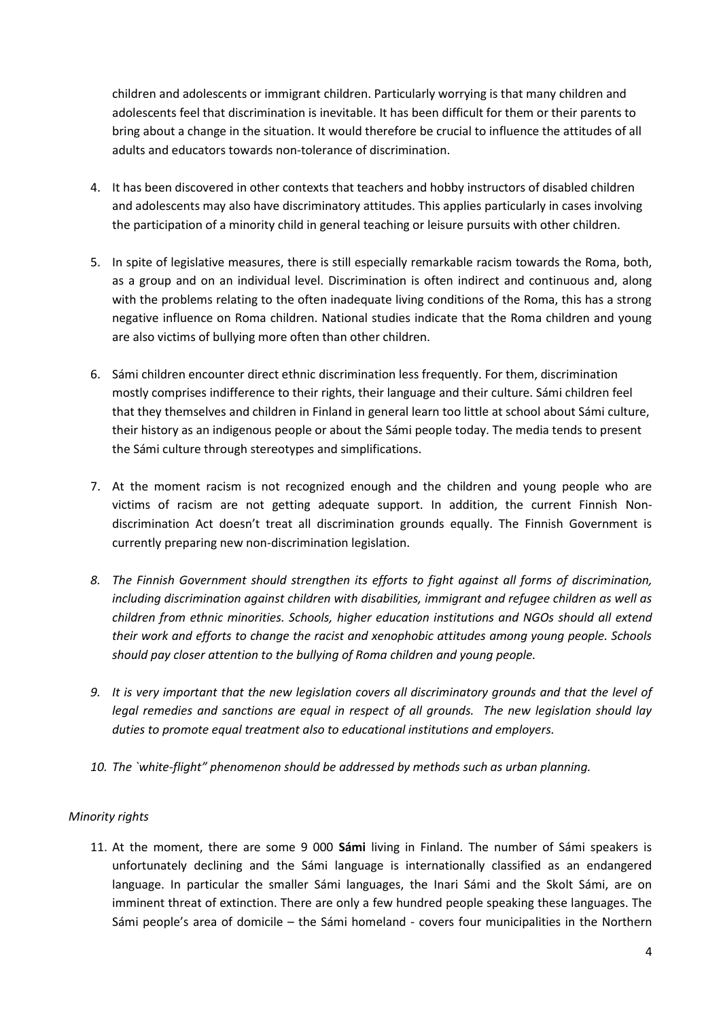children and adolescents or immigrant children. Particularly worrying is that many children and adolescents feel that discrimination is inevitable. It has been difficult for them or their parents to bring about a change in the situation. It would therefore be crucial to influence the attitudes of all adults and educators towards non-tolerance of discrimination.

- 4. It has been discovered in other contexts that teachers and hobby instructors of disabled children and adolescents may also have discriminatory attitudes. This applies particularly in cases involving the participation of a minority child in general teaching or leisure pursuits with other children.
- 5. In spite of legislative measures, there is still especially remarkable racism towards the Roma, both, as a group and on an individual level. Discrimination is often indirect and continuous and, along with the problems relating to the often inadequate living conditions of the Roma, this has a strong negative influence on Roma children. National studies indicate that the Roma children and young are also victims of bullying more often than other children.
- 6. Sámi children encounter direct ethnic discrimination less frequently. For them, discrimination mostly comprises indifference to their rights, their language and their culture. Sámi children feel that they themselves and children in Finland in general learn too little at school about Sámi culture, their history as an indigenous people or about the Sámi people today. The media tends to present the Sámi culture through stereotypes and simplifications.
- 7. At the moment racism is not recognized enough and the children and young people who are victims of racism are not getting adequate support. In addition, the current Finnish Nondiscrimination Act doesn't treat all discrimination grounds equally. The Finnish Government is currently preparing new non-discrimination legislation.
- *8. The Finnish Government should strengthen its efforts to fight against all forms of discrimination, including discrimination against children with disabilities, immigrant and refugee children as well as children from ethnic minorities. Schools, higher education institutions and NGOs should all extend their work and efforts to change the racist and xenophobic attitudes among young people. Schools should pay closer attention to the bullying of Roma children and young people.*
- *9. It is very important that the new legislation covers all discriminatory grounds and that the level of legal remedies and sanctions are equal in respect of all grounds. The new legislation should lay duties to promote equal treatment also to educational institutions and employers.*
- *10. The `white-flight" phenomenon should be addressed by methods such as urban planning.*

## *Minority rights*

11. At the moment, there are some 9 000 **Sámi** living in Finland. The number of Sámi speakers is unfortunately declining and the Sámi language is internationally classified as an endangered language. In particular the smaller Sámi languages, the Inari Sámi and the Skolt Sámi, are on imminent threat of extinction. There are only a few hundred people speaking these languages. The Sámi people's area of domicile – the Sámi homeland - covers four municipalities in the Northern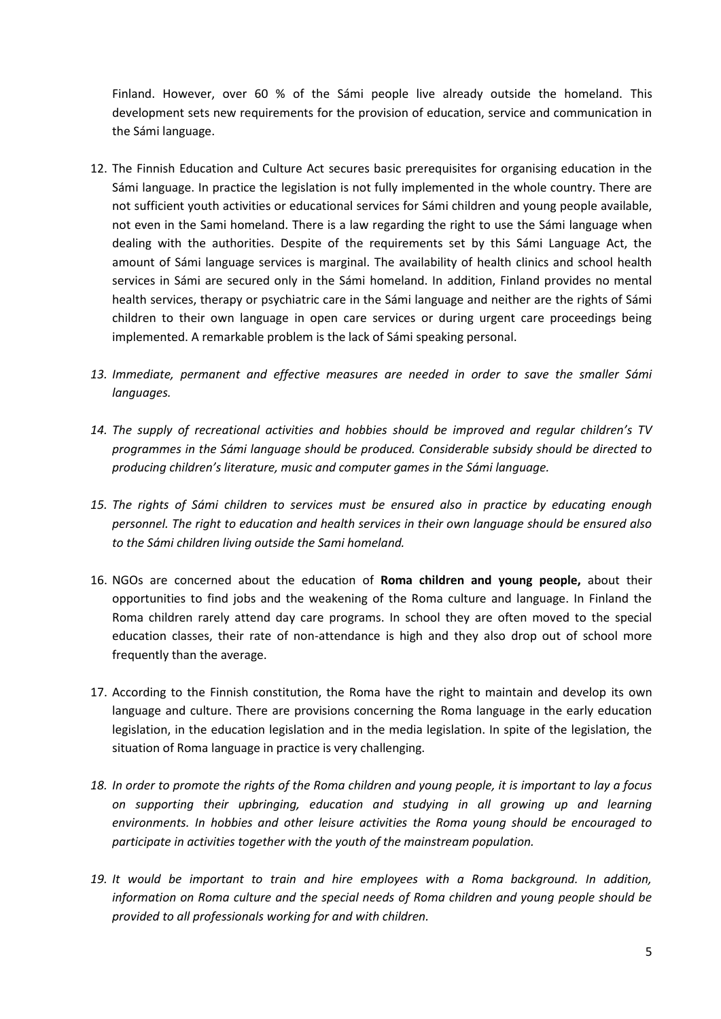Finland. However, over 60 % of the Sámi people live already outside the homeland. This development sets new requirements for the provision of education, service and communication in the Sámi language.

- 12. The Finnish Education and Culture Act secures basic prerequisites for organising education in the Sámi language. In practice the legislation is not fully implemented in the whole country. There are not sufficient youth activities or educational services for Sámi children and young people available, not even in the Sami homeland. There is a law regarding the right to use the Sámi language when dealing with the authorities. Despite of the requirements set by this Sámi Language Act, the amount of Sámi language services is marginal. The availability of health clinics and school health services in Sámi are secured only in the Sámi homeland. In addition, Finland provides no mental health services, therapy or psychiatric care in the Sámi language and neither are the rights of Sámi children to their own language in open care services or during urgent care proceedings being implemented. A remarkable problem is the lack of Sámi speaking personal.
- *13. Immediate, permanent and effective measures are needed in order to save the smaller Sámi languages.*
- *14. The supply of recreational activities and hobbies should be improved and regular children's TV programmes in the Sámi language should be produced. Considerable subsidy should be directed to producing children's literature, music and computer games in the Sámi language.*
- *15. The rights of Sámi children to services must be ensured also in practice by educating enough personnel. The right to education and health services in their own language should be ensured also to the Sámi children living outside the Sami homeland.*
- 16. NGOs are concerned about the education of **Roma children and young people,** about their opportunities to find jobs and the weakening of the Roma culture and language. In Finland the Roma children rarely attend day care programs. In school they are often moved to the special education classes, their rate of non-attendance is high and they also drop out of school more frequently than the average.
- 17. According to the Finnish constitution, the Roma have the right to maintain and develop its own language and culture. There are provisions concerning the Roma language in the early education legislation, in the education legislation and in the media legislation. In spite of the legislation, the situation of Roma language in practice is very challenging.
- *18. In order to promote the rights of the Roma children and young people, it is important to lay a focus on supporting their upbringing, education and studying in all growing up and learning environments. In hobbies and other leisure activities the Roma young should be encouraged to participate in activities together with the youth of the mainstream population.*
- *19. It would be important to train and hire employees with a Roma background. In addition, information on Roma culture and the special needs of Roma children and young people should be provided to all professionals working for and with children.*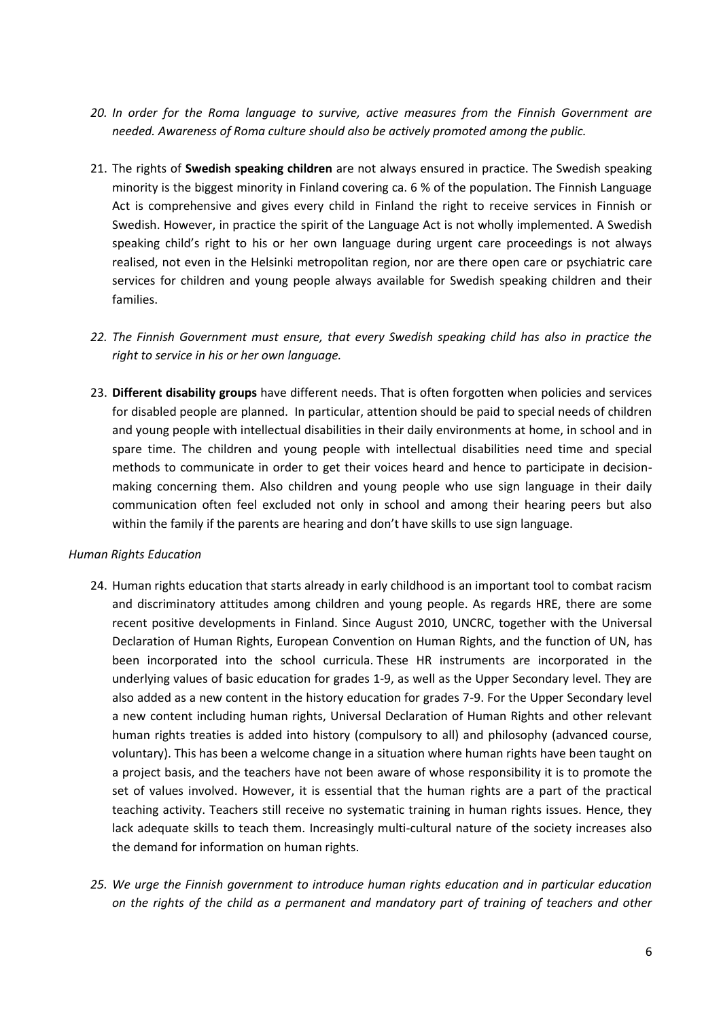- *20. In order for the Roma language to survive, active measures from the Finnish Government are needed. Awareness of Roma culture should also be actively promoted among the public.*
- 21. The rights of **Swedish speaking children** are not always ensured in practice. The Swedish speaking minority is the biggest minority in Finland covering ca. 6 % of the population. The Finnish Language Act is comprehensive and gives every child in Finland the right to receive services in Finnish or Swedish. However, in practice the spirit of the Language Act is not wholly implemented. A Swedish speaking child's right to his or her own language during urgent care proceedings is not always realised, not even in the Helsinki metropolitan region, nor are there open care or psychiatric care services for children and young people always available for Swedish speaking children and their families.
- *22. The Finnish Government must ensure, that every Swedish speaking child has also in practice the right to service in his or her own language.*
- 23. **Different disability groups** have different needs. That is often forgotten when policies and services for disabled people are planned. In particular, attention should be paid to special needs of children and young people with intellectual disabilities in their daily environments at home, in school and in spare time. The children and young people with intellectual disabilities need time and special methods to communicate in order to get their voices heard and hence to participate in decisionmaking concerning them. Also children and young people who use sign language in their daily communication often feel excluded not only in school and among their hearing peers but also within the family if the parents are hearing and don't have skills to use sign language.

#### *Human Rights Education*

- 24. Human rights education that starts already in early childhood is an important tool to combat racism and discriminatory attitudes among children and young people. As regards HRE, there are some recent positive developments in Finland. Since August 2010, UNCRC, together with the Universal Declaration of Human Rights, European Convention on Human Rights, and the function of UN, has been incorporated into the school curricula. These HR instruments are incorporated in the underlying values of basic education for grades 1-9, as well as the Upper Secondary level. They are also added as a new content in the history education for grades 7-9. For the Upper Secondary level a new content including human rights, Universal Declaration of Human Rights and other relevant human rights treaties is added into history (compulsory to all) and philosophy (advanced course, voluntary). This has been a welcome change in a situation where human rights have been taught on a project basis, and the teachers have not been aware of whose responsibility it is to promote the set of values involved. However, it is essential that the human rights are a part of the practical teaching activity. Teachers still receive no systematic training in human rights issues. Hence, they lack adequate skills to teach them. Increasingly multi-cultural nature of the society increases also the demand for information on human rights.
- *25. We urge the Finnish government to introduce human rights education and in particular education on the rights of the child as a permanent and mandatory part of training of teachers and other*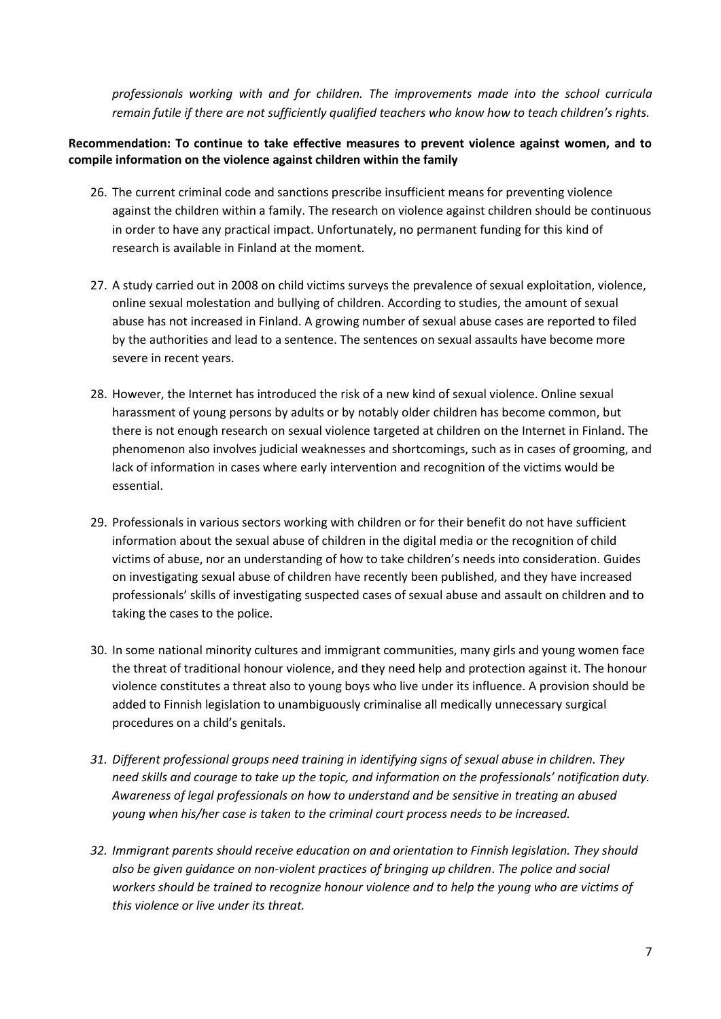*professionals working with and for children. The improvements made into the school curricula remain futile if there are not sufficiently qualified teachers who know how to teach children's rights.* 

## **Recommendation: To continue to take effective measures to prevent violence against women, and to compile information on the violence against children within the family**

- 26. The current criminal code and sanctions prescribe insufficient means for preventing violence against the children within a family. The research on violence against children should be continuous in order to have any practical impact. Unfortunately, no permanent funding for this kind of research is available in Finland at the moment.
- 27. A study carried out in 2008 on child victims surveys the prevalence of sexual exploitation, violence, online sexual molestation and bullying of children. According to studies, the amount of sexual abuse has not increased in Finland. A growing number of sexual abuse cases are reported to filed by the authorities and lead to a sentence. The sentences on sexual assaults have become more severe in recent years.
- 28. However, the Internet has introduced the risk of a new kind of sexual violence. Online sexual harassment of young persons by adults or by notably older children has become common, but there is not enough research on sexual violence targeted at children on the Internet in Finland. The phenomenon also involves judicial weaknesses and shortcomings, such as in cases of grooming, and lack of information in cases where early intervention and recognition of the victims would be essential.
- 29. Professionals in various sectors working with children or for their benefit do not have sufficient information about the sexual abuse of children in the digital media or the recognition of child victims of abuse, nor an understanding of how to take children's needs into consideration. Guides on investigating sexual abuse of children have recently been published, and they have increased professionals' skills of investigating suspected cases of sexual abuse and assault on children and to taking the cases to the police.
- 30. In some national minority cultures and immigrant communities, many girls and young women face the threat of traditional honour violence, and they need help and protection against it. The honour violence constitutes a threat also to young boys who live under its influence. A provision should be added to Finnish legislation to unambiguously criminalise all medically unnecessary surgical procedures on a child's genitals.
- *31. Different professional groups need training in identifying signs of sexual abuse in children. They need skills and courage to take up the topic, and information on the professionals' notification duty. Awareness of legal professionals on how to understand and be sensitive in treating an abused young when his/her case is taken to the criminal court process needs to be increased.*
- *32. Immigrant parents should receive education on and orientation to Finnish legislation. They should also be given guidance on non-violent practices of bringing up children*. *The police and social workers should be trained to recognize honour violence and to help the young who are victims of this violence or live under its threat.*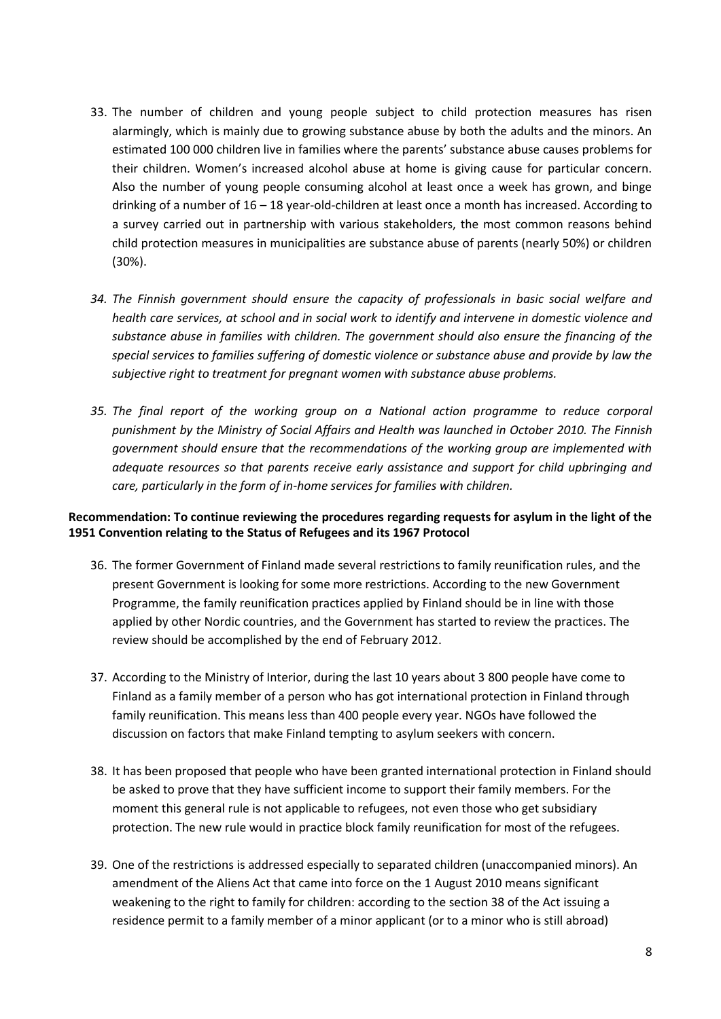- 33. The number of children and young people subject to child protection measures has risen alarmingly, which is mainly due to growing substance abuse by both the adults and the minors. An estimated 100 000 children live in families where the parents' substance abuse causes problems for their children. Women's increased alcohol abuse at home is giving cause for particular concern. Also the number of young people consuming alcohol at least once a week has grown, and binge drinking of a number of 16 – 18 year-old-children at least once a month has increased. According to a survey carried out in partnership with various stakeholders, the most common reasons behind child protection measures in municipalities are substance abuse of parents (nearly 50%) or children (30%).
- *34. The Finnish government should ensure the capacity of professionals in basic social welfare and health care services, at school and in social work to identify and intervene in domestic violence and substance abuse in families with children. The government should also ensure the financing of the special services to families suffering of domestic violence or substance abuse and provide by law the subjective right to treatment for pregnant women with substance abuse problems.*
- *35. The final report of the working group on a National action programme to reduce corporal punishment by the Ministry of Social Affairs and Health was launched in October 2010. The Finnish government should ensure that the recommendations of the working group are implemented with adequate resources so that parents receive early assistance and support for child upbringing and care, particularly in the form of in-home services for families with children.*

## **Recommendation: To continue reviewing the procedures regarding requests for asylum in the light of the 1951 Convention relating to the Status of Refugees and its 1967 Protocol**

- 36. The former Government of Finland made several restrictions to family reunification rules, and the present Government is looking for some more restrictions. According to the new Government Programme, the family reunification practices applied by Finland should be in line with those applied by other Nordic countries, and the Government has started to review the practices. The review should be accomplished by the end of February 2012.
- 37. According to the Ministry of Interior, during the last 10 years about 3 800 people have come to Finland as a family member of a person who has got international protection in Finland through family reunification. This means less than 400 people every year. NGOs have followed the discussion on factors that make Finland tempting to asylum seekers with concern.
- 38. It has been proposed that people who have been granted international protection in Finland should be asked to prove that they have sufficient income to support their family members. For the moment this general rule is not applicable to refugees, not even those who get subsidiary protection. The new rule would in practice block family reunification for most of the refugees.
- 39. One of the restrictions is addressed especially to separated children (unaccompanied minors). An amendment of the Aliens Act that came into force on the 1 August 2010 means significant weakening to the right to family for children: according to the section 38 of the Act issuing a residence permit to a family member of a minor applicant (or to a minor who is still abroad)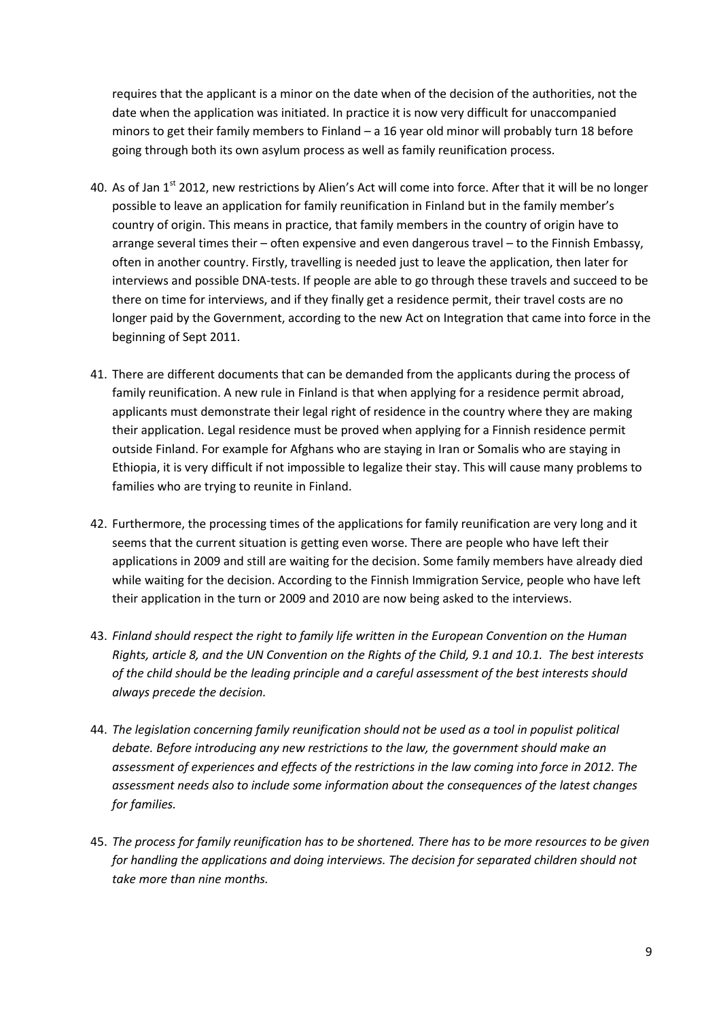requires that the applicant is a minor on the date when of the decision of the authorities, not the date when the application was initiated. In practice it is now very difficult for unaccompanied minors to get their family members to Finland – a 16 year old minor will probably turn 18 before going through both its own asylum process as well as family reunification process.

- 40. As of Jan 1<sup>st</sup> 2012, new restrictions by Alien's Act will come into force. After that it will be no longer possible to leave an application for family reunification in Finland but in the family member's country of origin. This means in practice, that family members in the country of origin have to arrange several times their – often expensive and even dangerous travel – to the Finnish Embassy, often in another country. Firstly, travelling is needed just to leave the application, then later for interviews and possible DNA-tests. If people are able to go through these travels and succeed to be there on time for interviews, and if they finally get a residence permit, their travel costs are no longer paid by the Government, according to the new Act on Integration that came into force in the beginning of Sept 2011.
- 41. There are different documents that can be demanded from the applicants during the process of family reunification. A new rule in Finland is that when applying for a residence permit abroad, applicants must demonstrate their legal right of residence in the country where they are making their application. Legal residence must be proved when applying for a Finnish residence permit outside Finland. For example for Afghans who are staying in Iran or Somalis who are staying in Ethiopia, it is very difficult if not impossible to legalize their stay. This will cause many problems to families who are trying to reunite in Finland.
- 42. Furthermore, the processing times of the applications for family reunification are very long and it seems that the current situation is getting even worse. There are people who have left their applications in 2009 and still are waiting for the decision. Some family members have already died while waiting for the decision. According to the Finnish Immigration Service, people who have left their application in the turn or 2009 and 2010 are now being asked to the interviews.
- 43. *Finland should respect the right to family life written in the European Convention on the Human Rights, article 8, and the UN Convention on the Rights of the Child, 9.1 and 10.1. The best interests of the child should be the leading principle and a careful assessment of the best interests should always precede the decision.*
- 44. *The legislation concerning family reunification should not be used as a tool in populist political debate. Before introducing any new restrictions to the law, the government should make an assessment of experiences and effects of the restrictions in the law coming into force in 2012. The assessment needs also to include some information about the consequences of the latest changes for families.*
- 45. *The process for family reunification has to be shortened. There has to be more resources to be given for handling the applications and doing interviews. The decision for separated children should not take more than nine months.*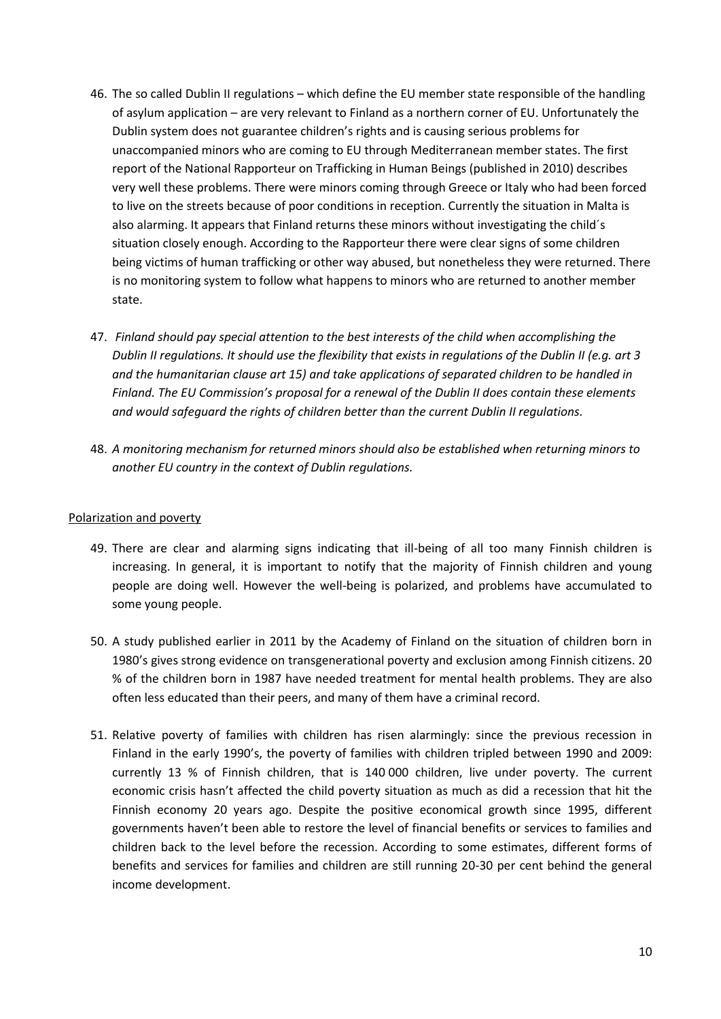- 46. The so called Dublin II regulations which define the EU member state responsible of the handling of asylum application – are very relevant to Finland as a northern corner of EU. Unfortunately the Dublin system does not guarantee children's rights and is causing serious problems for unaccompanied minors who are coming to EU through Mediterranean member states. The first report of the National Rapporteur on Trafficking in Human Beings (published in 2010) describes very well these problems. There were minors coming through Greece or Italy who had been forced to live on the streets because of poor conditions in reception. Currently the situation in Malta is also alarming. It appears that Finland returns these minors without investigating the child´s situation closely enough. According to the Rapporteur there were clear signs of some children being victims of human trafficking or other way abused, but nonetheless they were returned. There is no monitoring system to follow what happens to minors who are returned to another member state.
- 47. *Finland should pay special attention to the best interests of the child when accomplishing the Dublin II regulations. It should use the flexibility that exists in regulations of the Dublin II (e.g. art 3 and the humanitarian clause art 15) and take applications of separated children to be handled in Finland. The EU Commission's proposal for a renewal of the Dublin II does contain these elements and would safeguard the rights of children better than the current Dublin II regulations.*
- 48. *A monitoring mechanism for returned minors should also be established when returning minors to another EU country in the context of Dublin regulations.*

### Polarization and poverty

- 49. There are clear and alarming signs indicating that ill-being of all too many Finnish children is increasing. In general, it is important to notify that the majority of Finnish children and young people are doing well. However the well-being is polarized, and problems have accumulated to some young people.
- 50. A study published earlier in 2011 by the Academy of Finland on the situation of children born in 1980's gives strong evidence on transgenerational poverty and exclusion among Finnish citizens. 20 % of the children born in 1987 have needed treatment for mental health problems. They are also often less educated than their peers, and many of them have a criminal record.
- 51. Relative poverty of families with children has risen alarmingly: since the previous recession in Finland in the early 1990's, the poverty of families with children tripled between 1990 and 2009: currently 13 % of Finnish children, that is 140 000 children, live under poverty. The current economic crisis hasn't affected the child poverty situation as much as did a recession that hit the Finnish economy 20 years ago. Despite the positive economical growth since 1995, different governments haven't been able to restore the level of financial benefits or services to families and children back to the level before the recession. According to some estimates, different forms of benefits and services for families and children are still running 20-30 per cent behind the general income development.